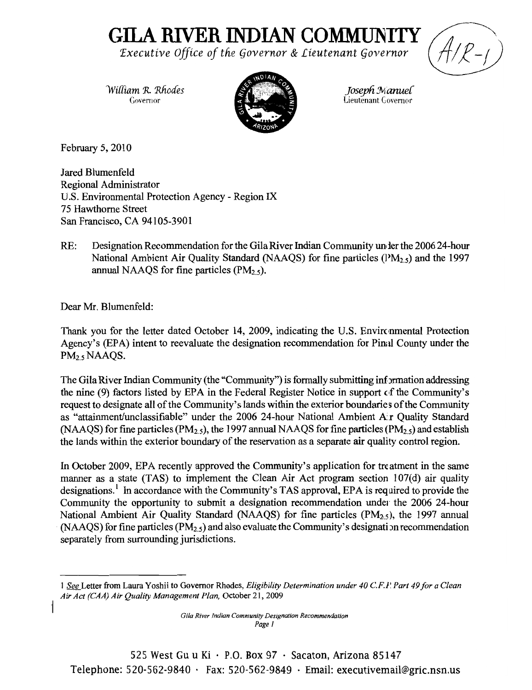## **GILA RIVER INDIAN COMMUNITY**

*'Executive Office of tfie §overnor* & *Lieutenant §overnor* 

*Wiffiam R. Rhodes Joseph Manuel Joseph Manuel Joseph Manuel* 



Lieutenant Governor

February 5, 2010

Jared Blumenfeld Regional Administrator U.S. Environmental Protection Agency - Region IX 75 Hawthorne Street San Francisco, CA 94105-3901

RE: Designation Recommendation for the Gila River Indian Community under the 2006 24-hour National Ambient Air Quality Standard (NAAQS) for fine particles  $(PM_{2.5})$  and the 1997 annual NAAQS for fine particles  $(PM_{2.5})$ .

Dear Mr. Blumenfeld:

Thank you for the letter dated October 14, 2009, indicating the U.S. Environmental Protection Agency's (EPA) intent to reevaluate the designation recommendation for Pinal County under the PM<sub>2.5</sub> NAAQS.

The Gila River Indian Community (the "Community") is formally submitting information addressing the nine (9) factors listed by EPA in the Federal Register Notice in support of the Community's request to designate all of the Community's lands within the exterior boundaries of the Community as "attainment/unclassifiable" under the 2006 24-hour National Ambient A.r Quality Standard (NAAQS) for fine particles ( $PM<sub>2.5</sub>$ ), the 1997 annual NAAQS for fine particles ( $PM<sub>2.5</sub>$ ) and establish the lands within the exterior boundary of the reservation as a separate air quality control region.

In October 2009, EPA recently approved the Community's application for treatment in the same manner as a state (TAS) to implement the Clean Air Act program section 107(d) air quality designations.<sup>1</sup> In accordance with the Community's TAS approval, EPA is required to provide the Community the opportunity to submit a designation recommendation under the 2006 24-hour National Ambient Air Quality Standard (NAAQS) for fine particles ( $PM<sub>2.5</sub>$ ), the 1997 annual (NAAQS) for fine particles ( $PM<sub>2.5</sub>$ ) and also evaluate the Community's designation recommendation separately from surrounding jurisdictions.

525 West Gu u Ki  $\cdot$  P.O. Box 97  $\cdot$  Sacaton, Arizona 85147 Telephone: 520-562-9840  $\cdot$  Fax: 520-562-9849  $\cdot$  Email: executivemail@gric.nsn.us

<sup>1</sup> *See* Letter from Laura Yoshii to Governor Rhodes, *Eligibility Determination under 40 c.F.P Part* 49*for a Clean Air Act (CAA) Air Quality Management Plan,* October 21,2009